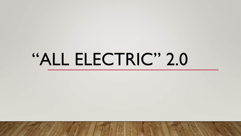# "ALL ELECTRIC" 2.0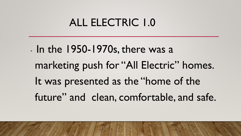# ALL ELECTRIC 1.0

• In the 1950-1970s, there was a marketing push for "All Electric" homes. It was presented as the "home of the future" and clean, comfortable, and safe.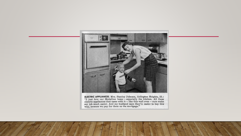

**ELECTRIC APPLIANCES.** Mrs. Stanley Johnson, Arlington Heights, Ill.: "I just love our Medallion home – especially the kitchen. All these electric appliances that came with it – like this wall oven – sure make my job much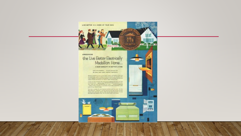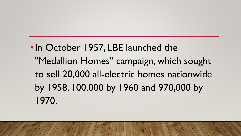•In October 1957, LBE launched the "Medallion Homes" campaign, which sought to sell 20,000 all-electric homes nationwide by 1958, 100,000 by 1960 and 970,000 by 1970.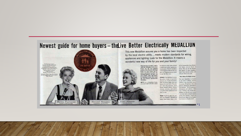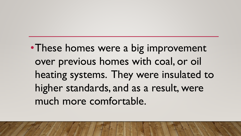• These homes were a big improvement over previous homes with coal, or oil heating systems. They were insulated to higher standards, and as a result, were much more comfortable.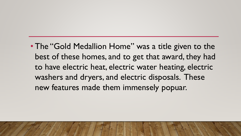• The "Gold Medallion Home" was a title given to the best of these homes, and to get that award, they had to have electric heat, electric water heating, electric washers and dryers, and electric disposals. These new features made them immensely popuar.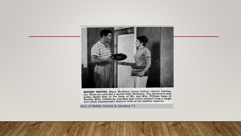

**ELECTRIC HEATING.** Many Medallion homes feature electric heating, too. These are awarded a special Gold Medallion. The all-electric heat pump, shown here in the home of Mr. and Mrs. William Isaac of Beverly Hills, Califor

ssue of Better Homes & Gardens \*1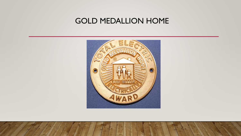## GOLD MEDALLION HOME

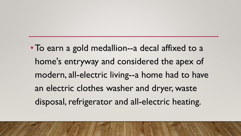•To earn a gold medallion--a decal affixed to a home's entryway and considered the apex of modern, all-electric living--a home had to have an electric clothes washer and dryer, waste disposal, refrigerator and all-electric heating.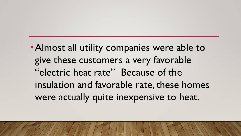•Almost all utility companies were able to give these customers a very favorable "electric heat rate" Because of the insulation and favorable rate, these homes were actually quite inexpensive to heat.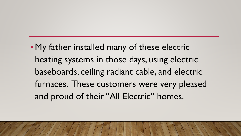•My father installed many of these electric heating systems in those days, using electric baseboards, ceiling radiant cable, and electric furnaces. These customers were very pleased and proud of their "All Electric" homes.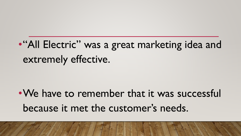•"All Electric" was a great marketing idea and extremely effective.

• We have to remember that it was successful because it met the customer's needs.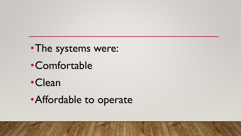- •The systems were:
- •Comfortable
- •Clean
- •Affordable to operate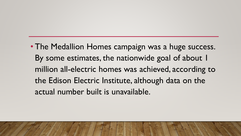• The Medallion Homes campaign was a huge success. By some estimates, the nationwide goal of about 1 million all-electric homes was achieved, according to the Edison Electric Institute, although data on the actual number built is unavailable.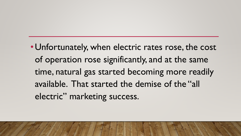•Unfortunately, when electric rates rose, the cost of operation rose significantly, and at the same time, natural gas started becoming more readily available. That started the demise of the "all electric" marketing success.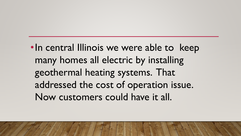•In central Illinois we were able to keep many homes all electric by installing geothermal heating systems. That addressed the cost of operation issue. Now customers could have it all.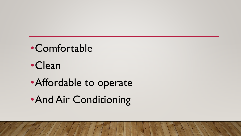- •Comfortable
- •Clean
- •Affordable to operate
- •And Air Conditioning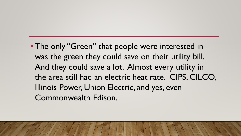• The only "Green" that people were interested in was the green they could save on their utility bill. And they could save a lot. Almost every utility in the area still had an electric heat rate. CIPS, CILCO, Illinois Power, Union Electric, and yes, even Commonwealth Edison.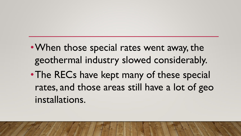- When those special rates went away, the geothermal industry slowed considerably.
- The RECs have kept many of these special rates, and those areas still have a lot of geo installations.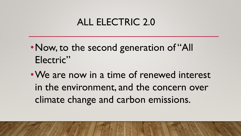# ALL ELECTRIC 2.0

- Now, to the second generation of "All Electric"
- •We are now in a time of renewed interest in the environment, and the concern over climate change and carbon emissions.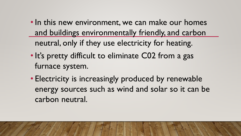- In this new environment, we can make our homes and buildings environmentally friendly, and carbon neutral, only if they use electricity for heating.
- It's pretty difficult to eliminate C02 from a gas furnace system.
- Electricity is increasingly produced by renewable energy sources such as wind and solar so it can be carbon neutral.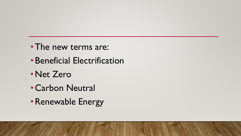- The new terms are:
- •Beneficial Electrification
- •Net Zero
- •Carbon Neutral
- •Renewable Energy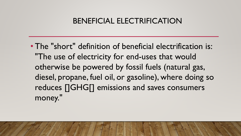## BENEFICIAL ELECTRIFICATION

• The "short" definition of beneficial electrification is: "The use of electricity for end-uses that would otherwise be powered by fossil fuels (natural gas, diesel, propane, fuel oil, or gasoline), where doing so reduces []GHG[] emissions and saves consumers money."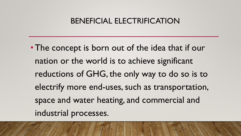### BENEFICIAL ELECTRIFICATION

•The concept is born out of the idea that if our nation or the world is to achieve significant reductions of GHG, the only way to do so is to electrify more end-uses, such as transportation, space and water heating, and commercial and industrial processes.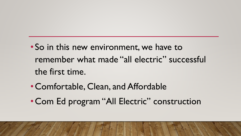- So in this new environment, we have to remember what made "all electric" successful the first time.
- •Comfortable, Clean, and Affordable
- Com Ed program "All Electric" construction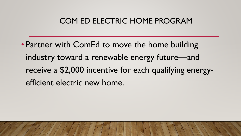## COM ED ELECTRIC HOME PROGRAM

• Partner with ComEd to move the home building industry toward a renewable energy future—and receive a \$2,000 incentive for each qualifying energyefficient electric new home.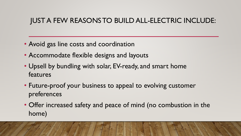## JUST A FEW REASONS TO BUILD ALL-ELECTRIC INCLUDE:

- Avoid gas line costs and coordination
- Accommodate flexible designs and layouts
- Upsell by bundling with solar, EV-ready, and smart home features
- Future-proof your business to appeal to evolving customer preferences
- Offer increased safety and peace of mind (no combustion in the home)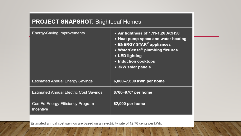### **PROJECT SNAPSHOT: BrightLeaf Homes**

| <b>Energy-Saving Improvements</b>             | • Air tightness of 1.11-1.26 ACH50<br>• Heat pump space and water heating<br>• ENERGY STAR <sup>®</sup> appliances<br>• WaterSense® plumbing fixtures<br>• LED lighting<br>• Induction cooktops<br>• 3kW solar panels |
|-----------------------------------------------|-----------------------------------------------------------------------------------------------------------------------------------------------------------------------------------------------------------------------|
| <b>Estimated Annual Energy Savings</b>        | 6,000-7,600 kWh per home                                                                                                                                                                                              |
| <b>Estimated Annual Electric Cost Savings</b> | \$760-970* per home                                                                                                                                                                                                   |
| ComEd Energy Efficiency Program<br>Incentive  | \$2,000 per home                                                                                                                                                                                                      |

"Estimated annual cost savings are based on an electricity rate of 12.76 cents per kWh.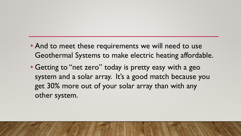- And to meet these requirements we will need to use Geothermal Systems to make electric heating affordable.
- Getting to "net zero" today is pretty easy with a geo system and a solar array. It's a good match because you get 30% more out of your solar array than with any other system.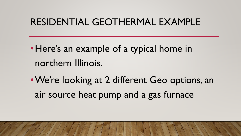# RESIDENTIAL GEOTHERMAL EXAMPLE

•Here's an example of a typical home in northern Illinois.

•We're looking at 2 different Geo options, an air source heat pump and a gas furnace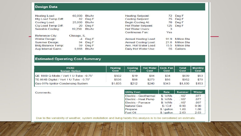#### **Design Data**

| <b>Heating Load:</b>      | 60.000      | Btu/hr | <b>Heating Setpoint:</b>    |      | 72 Deg F    |
|---------------------------|-------------|--------|-----------------------------|------|-------------|
| Htg Load Temp Diff:       | 82          | Deg F  | Cooling Setpoint:           | 75.  | Deg F       |
| Cooling Load:             | 25,000      | Btu/hr | Begin Cooling At:           | 70.  | Deg F       |
| Clg Load Temp Diff:       | 20          | Deg F  | Hot Water Setpoint:         | 125. | Deg F       |
| Sensible Cooling:         | 19,250      | Btu/hr | Hot Water Users:            | з    |             |
|                           |             |        | Continuous Fan:             | Yes  |             |
| Reference City:           | Chicago, IL |        |                             |      |             |
| Winter Design:            | $-4$        | Deg F  | <b>Annual Heating Load:</b> | 91.9 | Million Btu |
| Summer Design:            | 94          | Deg F  | Annual Cooling Load:        | 21.8 | Million Btu |
| <b>Bldg Balance Temp:</b> | 59          | Deg F  | Ann. Hot Water Load:        | 15.5 | Million Btu |
| Avg Internal Gains:       | 9,868       | Btu/hr | Daily Hot Water Use:        | 55.  | Gallons     |

#### **Estimated Operating Cost Summary**

| <b>HVAC</b><br><b>System Option</b>     | <b>Heating</b><br>Cost | <b>Cooling</b><br>Cost | Hot Water   Cont. Fan  <br>Cost | Cost  | <b>Total</b><br>Cost | <b>Monthly</b><br>Cost |
|-----------------------------------------|------------------------|------------------------|---------------------------------|-------|----------------------|------------------------|
| IQE 1860 Q-Mode / Vert 1 U-Tube - 0.75" | \$502                  | \$19                   | \$84                            | \$34  | \$639                | \$53                   |
| TE 064B Digital / Vert 1 U-Tube - 0.75" | \$536                  | \$88                   | \$273                           | \$56  | \$952                | \$79                   |
| Gas-91%-Ignitor-Condensing System       | \$1,035                | \$212                  | \$240                           | \$343 | \$1,830              | \$153                  |

#### Comments:

| <b>Utility Cost</b>   | Rate         | <b>Summer</b> | <b>Winter</b> |
|-----------------------|--------------|---------------|---------------|
| Electric - Geothermal | \$/kWh       | .107          | .077          |
| Electric - Heat Pump  | $$/$ kWh     | .107          | .077          |
| Electric - Furnace    | \$/kWh       | .107          | .097          |
| Natural Gas           | \$ / Ccf     | 0.90          | 0.90          |
| Propane               | $$ /$ gallon | 1.60          | 1.60          |
| <b>Fuel Oil</b>       | $$ /$ gallon | 2.63          | 2.63          |

Due to the variability of weather, system installation and living habits this analysis is to be considered an estimate.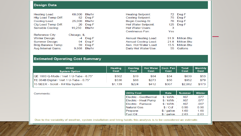#### **Design Data**

| <b>Heating Load:</b>      | 60,000      | Btu/hr | <b>Heating Setpoint:</b>    | 72.  | Deg F       |
|---------------------------|-------------|--------|-----------------------------|------|-------------|
| Htg Load Temp Diff:       | 82          | Deg F  | Cooling Setpoint:           | 75.  | Deg F       |
| Cooling Load:             | 25,000      | Btu/hr | Begin Cooling At:           | 70   | Deg F       |
| Clg Load Temp Diff:       | 20          | Deg F  | Hot Water Setpoint:         | 125  | Deg F       |
| Sensible Cooling:         | 19,250      | Btu/hr | Hot Water Users:            | 3    |             |
|                           |             |        | Continuous Fan:             | Yes  |             |
| Reference City:           | Chicago, IL |        |                             |      |             |
| Winter Design:            | $-4$        | Deg F  | <b>Annual Heating Load:</b> | 91.9 | Million Btu |
| <b>Summer Design:</b>     | 94          | Deg F  | Annual Cooling Load:        | 21.8 | Million Btu |
| <b>Bldg Balance Temp:</b> | 59          | Deg F  | Ann. Hot Water Load:        | 15.5 | Million Btu |
| Avg Internal Gains:       | 9,868       | Btu/hr | Daily Hot Water Use:        | 55   | Gallons     |

#### **Estimated Operating Cost Summary**

| <b>HVAC</b><br><b>System Option</b>           | <b>Heating</b><br>Cost | <b>Cooling</b><br>Cost | Hot Water   Cont. Fan  <br>Cost | Cost  | <b>Total</b><br>Cost | <b>Monthly</b><br>Cost |
|-----------------------------------------------|------------------------|------------------------|---------------------------------|-------|----------------------|------------------------|
| <b>QE 1860 Q-Mode / Vert 1 U-Tube - 0.75"</b> | \$502                  | \$19                   | \$84                            | \$34  | \$639                | \$53                   |
| TE 064B Digital / Vert 1 U-Tube - 0.75"       | \$536                  | \$88                   | \$273                           | \$56  | \$952                | \$79                   |
| 15 SEER - Scroll - R410a System               | \$1,139                | \$224                  | \$412                           | \$307 | \$2,082              | \$173                  |

Comments:

| <b>Utility Cost</b>   | Rate         | <b>Summer</b> | <b>Winter</b> |
|-----------------------|--------------|---------------|---------------|
| Electric - Geothermal | $$/$ kWh     | .107          | .077          |
| Electric - Heat Pump  | $$/$ kWh     | .107          | .077          |
| Electric - Furnace    | $$/$ kWh     | .107          | .097          |
| Natural Gas           | \$ / Ccf     | 0.90          | 0.90          |
| Propane               | $$ /$ gallon | 1.60          | 1.60          |
| <b>Fuel Oil</b>       | \$ / gallon  | 2.63          | 2.63          |

Due to the variability of weather, system installation and living habits this analysis is to be considered an estimate.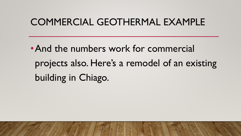# COMMERCIAL GEOTHERMAL EXAMPLE

• And the numbers work for commercial projects also. Here's a remodel of an existing building in Chiago.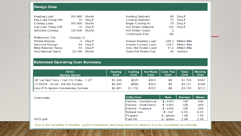#### **Design Data**

| <b>Heating Load:</b>      | 168,400     | Btu/hr | <b>Heating Setpoint:</b>    | 68    | Deg F       |
|---------------------------|-------------|--------|-----------------------------|-------|-------------|
| Htg Load Temp Diff:       | 78          | Deg F  | Cooling Setpoint:           | 75    | Deg F       |
| Cooling Load:             | 166,800     | Btu/hr | Begin Cooling At:           | 70    | Deg F       |
| Clg Load Temp Diff:       | 16          | Deg F  | <b>Hot Water Setpoint:</b>  | 125   | Deg F       |
| Sensible Cooling:         | 128,436     | Btu/hr | Hot Water Users:            | 2     |             |
|                           |             |        | Continuous Fan:             | No.   |             |
|                           |             |        |                             |       |             |
| Reference City:           | Chicago, IL |        |                             |       |             |
| Winter Design:            | $-4$        | Deg F  | <b>Annual Heating Load:</b> | 226.3 | Million Btu |
| Summer Design:            | 94          | Deg F  | <b>Annual Cooling Load:</b> | 104.7 | Million Btu |
| <b>Bldg Balance Temp:</b> | 55          | Deg F  | Ann. Hot Water Load:        | 11.2  | Million Btu |
| Avg Internal Gains:       | 29,109      | Btu/hr | Daily Hot Water Use:        | 40    | Gallons     |

#### **Estimated Operating Cost Summary**

| <b>HVAC</b><br><b>System Option</b>     | <b>Heating</b><br>Cost | <b>Cooling</b><br>Cost | Hot Water   Cont. Fan  <br>Cost | Cost | <b>Total</b><br>Cost | <b>Monthly</b><br>Cost |
|-----------------------------------------|------------------------|------------------------|---------------------------------|------|----------------------|------------------------|
| VE Var Spd Tons / Vert 1 U-Tube - 1.25" | \$1,240                | \$226                  | \$303                           | \$0  | \$1,768              | \$147                  |
| 15 SEER - Scroll - R410a System         | \$2,855                | \$994                  | \$303                           | \$0  | \$4,151              | \$346                  |
| Gas-91%-Ignitor-Condensing System       | \$2,451                | \$1,132                | \$165                           | \$0  | \$3,748              | $$312$                 |

Comments:

| <b>Utility Cost</b>   | Rate         | <b>Summer</b> | <b>Winter</b> |
|-----------------------|--------------|---------------|---------------|
| Electric - Geothermal | $$/$ kWh     | .100          | .080          |
| Electric - Heat Pump  | $$/$ kWh     | .100          | .080          |
| Electric - Furnace    | $$/$ kWh     | -100          | -080          |
| Natural Gas           | \$ / Ccf     | 0.85          | 0.85          |
| Propane               | $$ /$ gallon | 1.60          | 1.60          |
| <b>Fuel Oil</b>       | $$ /$ gallon | 2.00          | 2.00          |

#### GED.ged

Due to the variability of weather, system installation and living habits this analysis is to be considered an estimate.